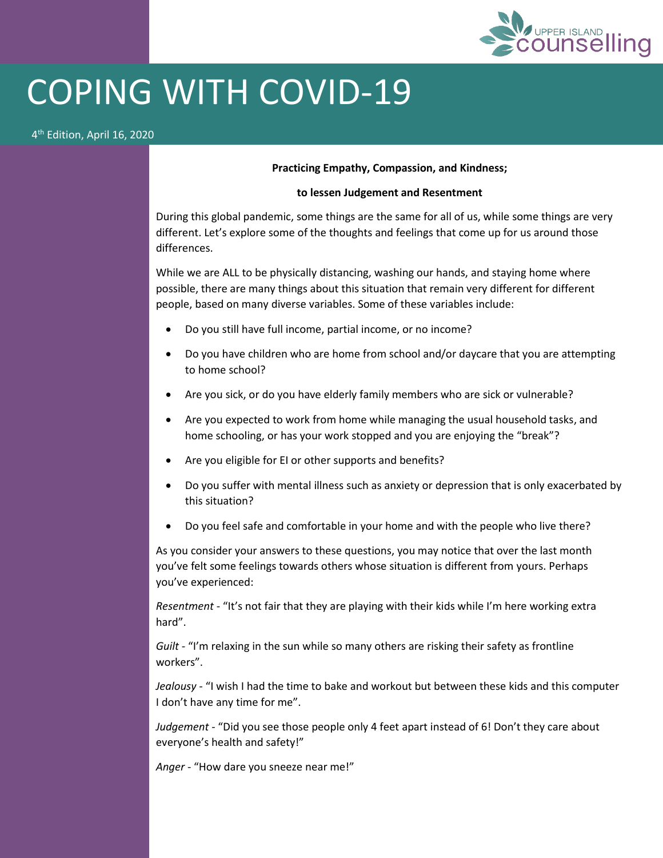

## COPING WITH COVID-19

## 4 th Edition, April 16, 2020

## **Practicing Empathy, Compassion, and Kindness;**

## **to lessen Judgement and Resentment**

During this global pandemic, some things are the same for all of us, while some things are very different. Let's explore some of the thoughts and feelings that come up for us around those differences.

While we are ALL to be physically distancing, washing our hands, and staying home where possible, there are many things about this situation that remain very different for different people, based on many diverse variables. Some of these variables include:

- Do you still have full income, partial income, or no income?
- Do you have children who are home from school and/or daycare that you are attempting to home school?
- Are you sick, or do you have elderly family members who are sick or vulnerable?
- Are you expected to work from home while managing the usual household tasks, and home schooling, or has your work stopped and you are enjoying the "break"?
- Are you eligible for EI or other supports and benefits?
- Do you suffer with mental illness such as anxiety or depression that is only exacerbated by this situation?
- Do you feel safe and comfortable in your home and with the people who live there?

As you consider your answers to these questions, you may notice that over the last month you've felt some feelings towards others whose situation is different from yours. Perhaps you've experienced:

*Resentment* - "It's not fair that they are playing with their kids while I'm here working extra hard".

*Guilt -* "I'm relaxing in the sun while so many others are risking their safety as frontline workers".

*Jealousy -* "I wish I had the time to bake and workout but between these kids and this computer I don't have any time for me".

*Judgement* - "Did you see those people only 4 feet apart instead of 6! Don't they care about everyone's health and safety!"

*Anger* - "How dare you sneeze near me!"